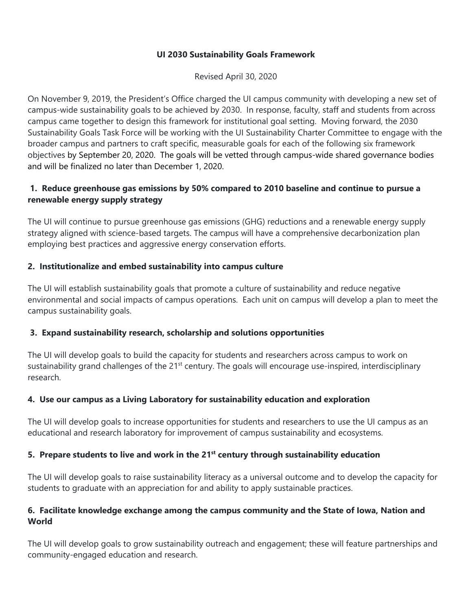#### **UI 2030 Sustainability Goals Framework**

Revised April 30, 2020

On November 9, 2019, the President's Office charged the UI campus community with developing a new set of campus-wide sustainability goals to be achieved by 2030. In response, faculty, staff and students from across campus came together to design this framework for institutional goal setting. Moving forward, the 2030 Sustainability Goals Task Force will be working with the UI Sustainability Charter Committee to engage with the broader campus and partners to craft specific, measurable goals for each of the following six framework objectives by September 20, 2020. The goals will be vetted through campus-wide shared governance bodies and will be finalized no later than December 1, 2020.

# **1. Reduce greenhouse gas emissions by 50% compared to 2010 baseline and continue to pursue a renewable energy supply strategy**

The UI will continue to pursue greenhouse gas emissions (GHG) reductions and a renewable energy supply strategy aligned with science-based targets. The campus will have a comprehensive decarbonization plan employing best practices and aggressive energy conservation efforts.

## **2. Institutionalize and embed sustainability into campus culture**

The UI will establish sustainability goals that promote a culture of sustainability and reduce negative environmental and social impacts of campus operations. Each unit on campus will develop a plan to meet the campus sustainability goals.

#### **3. Expand sustainability research, scholarship and solutions opportunities**

The UI will develop goals to build the capacity for students and researchers across campus to work on sustainability grand challenges of the 21<sup>st</sup> century. The goals will encourage use-inspired, interdisciplinary research.

#### **4. Use our campus as a Living Laboratory for sustainability education and exploration**

The UI will develop goals to increase opportunities for students and researchers to use the UI campus as an educational and research laboratory for improvement of campus sustainability and ecosystems.

#### **5. Prepare students to live and work in the 21st century through sustainability education**

The UI will develop goals to raise sustainability literacy as a universal outcome and to develop the capacity for students to graduate with an appreciation for and ability to apply sustainable practices.

#### **6. Facilitate knowledge exchange among the campus community and the State of Iowa, Nation and World**

The UI will develop goals to grow sustainability outreach and engagement; these will feature partnerships and community-engaged education and research.